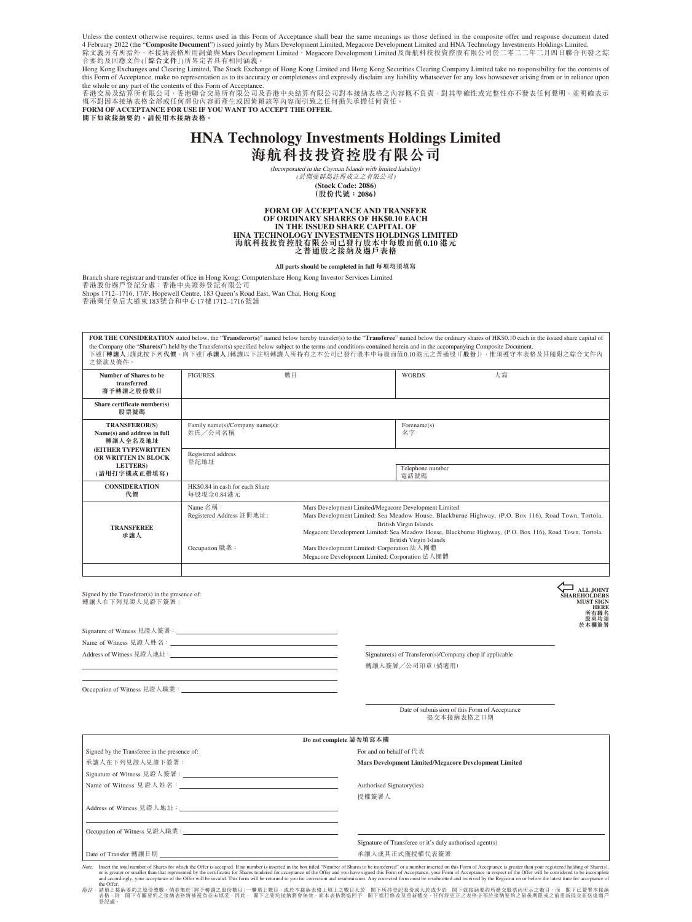Unless the context otherwise requires, terms used in this Form of Acceptance shall bear the same meanings as those defined in the composite offer and response document dated 4 February 2022 (the "**Composite Document**") issued jointly by Mars Development Limited, Megacore Development Limited and HNA Technology Investments Holdings Limited.<br>除文義另有所指外,本接納表格所用詞彙與Mars Development Limited、Megacore D 合要約及回應文件「( **綜合文件**」)所界定者具有相同涵義。

Hong Kong Exchanges and Clearing Limited, The Stock Exchange of Hong Kong Limited and Hong Kong Securities Clearing Company Limited take no responsibility for the contents of this Form of Acceptance, make no representation as to its accuracy or completeness and expressly disclaim any liability whatsoever for any loss howsoever arising from or in reliance upon

the whole or any part of the contents of this Form of Acceptance.<br>香港交易及結算所有限公司、香港聯合交易所有限公司及香港中央結算有限公司對本接納表格之內容概不負責,對其準確性或完整性亦不發表任何聲明,並明確表示 概不對因本接納表格全部或任何部份內容而產生或因倚賴該等內容而引致之任何損失承擔任何責任。 **FORM OF ACCEPTANCE FOR USE IF YOU WANT TO ACCEPT THE OFFER.**

**閣下如欲接納要約,請使用本接納表格。**

## **HNA Technology Investments Holdings Limited 海航科技投資控股有限公司**

(Incorporated in the Cayman Islands with limited liability) (於開曼群島註冊成立之有限公司) **(Stock Code: 2086)**

**(股份代號:2086)**

# **FORM OF ACCEPTANCE AND TRANSFER OF ORDINARY SHARES OF HK\$0.10 EACH IN THE ISSUED SHARE CAPITAL OF HNA TECHNOLOGY INVESTMENTS HOLDINGS LIMITED 海航科技投資控股有限公司已發行股本中每股面值0.10 港元 之普通股之接納及過戶表格**

**All parts should be completed in full 每項均須填寫**

Branch share registrar and transfer office in Hong Kong: Computershare Hong Kong Investor Services Limited

香港股份過戶登記分處:香港中央證券登記有限公司 Shops 1712–1716, 17/F, Hopewell Centre, 183 Queen's Road East, Wan Chai, Hong Kong 香港灣仔皇后大道東183號合和中心17樓1712–1716號舖

FOR THE CONSIDERATION stated below, the "Transferor(s)" named below hereby transfer(s) to the "Transferee" named below the ordinary shares of HK\$0.10 each in the issued share capital of the Company (the "**Share(s)**") held by the Transferor(s) specified below subject to the terms and conditions contained herein and in the accompanying Composite Document.<br>下述「**轉讓人」**謹此按下列**代價**,向下述「承讓人」轉讓以下註明轉讓人所持有之本公司已發行股本中每股 之條款及條件。

| Number of Shares to be<br>transferred                           | <b>FIGURES</b>                                         | 數目 | <b>WORDS</b>                                                                                                                                                                                                                                                                                                                                                                                                                              | 大寫 |  |
|-----------------------------------------------------------------|--------------------------------------------------------|----|-------------------------------------------------------------------------------------------------------------------------------------------------------------------------------------------------------------------------------------------------------------------------------------------------------------------------------------------------------------------------------------------------------------------------------------------|----|--|
| 將予轉讓之股份數目                                                       |                                                        |    |                                                                                                                                                                                                                                                                                                                                                                                                                                           |    |  |
| Share certificate number(s)<br>股票號碼                             |                                                        |    |                                                                                                                                                                                                                                                                                                                                                                                                                                           |    |  |
| <b>TRANSFEROR(S)</b><br>Name(s) and address in full<br>轉讓人全名及地址 | Family name(s)/Company name(s):<br>姓氏/公司名稱             |    | Forename(s)<br>名字                                                                                                                                                                                                                                                                                                                                                                                                                         |    |  |
| (EITHER TYPEWRITTEN<br>OR WRITTEN IN BLOCK<br><b>LETTERS</b>    | Registered address<br>登記地址                             |    |                                                                                                                                                                                                                                                                                                                                                                                                                                           |    |  |
| (請用打字機或正楷填寫)                                                    |                                                        |    | Telephone number<br>電話號碼                                                                                                                                                                                                                                                                                                                                                                                                                  |    |  |
| <b>CONSIDERATION</b><br>代價                                      | HK\$0.84 in cash for each Share<br>每股現金0.84港元          |    |                                                                                                                                                                                                                                                                                                                                                                                                                                           |    |  |
| <b>TRANSFEREE</b><br>承讓人                                        | Name 名稱:<br>Registered Address 註冊地址:<br>Occupation 職業: |    | Mars Development Limited/Megacore Development Limited<br>Mars Development Limited: Sea Meadow House, Blackburne Highway, (P.O. Box 116), Road Town, Tortola,<br><b>British Virgin Islands</b><br>Megacore Development Limited: Sea Meadow House, Blackburne Highway, (P.O. Box 116), Road Town, Tortola,<br><b>British Virgin Islands</b><br>Mars Development Limited: Corporation 法人團體<br>Megacore Development Limited: Corporation 法人團體 |    |  |
|                                                                 |                                                        |    |                                                                                                                                                                                                                                                                                                                                                                                                                                           |    |  |

**ALL JOINT SHAREHOLDERS MUST SIGN HERE 所有聯名 股東均須 於本欄簽署**  $\overline{\sum_{\text{SHAI}}}$ 

Signature of Witness 見證人簽署: Name of Witness 見證人姓名: Address of Witness 見證人地址: <a>>
<a>
<a>
<a>
<a>
<a>
<a</>
<a>
<a>
<a>
<a</>
<a>
<a</>
Signature(s) of Transferor(s)/Company chop if applicable</a>
</a>
</a>
</a>
</a>
<a</a>
<a</a>
<a</a>
<a</a>
<a</a>
<a</a>
<a</a>
<a</a>

轉讓人簽署╱公司印章(倘適用)

Occupation of Witness 見證人職業:

Signed by the Transferor(s) in the presence of: 轉讓人在下列見證人見證下簽署:

|            | Date of submission of this Form of Acceptance |  |  |
|------------|-----------------------------------------------|--|--|
| 提交本接納表格之日期 |                                               |  |  |

|                                              | Do not complete 請勿填寫本欄                                                                                                                                                                                                        |
|----------------------------------------------|-------------------------------------------------------------------------------------------------------------------------------------------------------------------------------------------------------------------------------|
| Signed by the Transferee in the presence of: | For and on behalf of $f \ddot{\in} \mathcal{R}$                                                                                                                                                                               |
| 承讓人在下列見證人見證下簽署:                              | Mars Development Limited/Megacore Development Limited                                                                                                                                                                         |
|                                              |                                                                                                                                                                                                                               |
|                                              | Authorised Signatory(ies)                                                                                                                                                                                                     |
|                                              | 授權簽署人                                                                                                                                                                                                                         |
| Address of Witness 見證人地址:                    |                                                                                                                                                                                                                               |
|                                              |                                                                                                                                                                                                                               |
|                                              |                                                                                                                                                                                                                               |
|                                              | Signature of Transferee or it's duly authorised agent(s)                                                                                                                                                                      |
| Date of Transfer 轉讓 日期                       | 承讓人或其正式獲授權代表簽署                                                                                                                                                                                                                |
|                                              | Note: Insert the total number of Shares for which the Offer is accepted. If no number is inserted in the box titled "Number of Shares to be transferred" or a number inserted on this Form of Acceptance is greater than your |

Note: Insert the total number of Shares for which the Offer is accepted. If no number is meeted in the box titled "Number of Shares to be transferred" or a number inserted on this Form of Acceptance is greater than your re or is greater  $\ldots$  ....<br>and accordingly, your<br>the Offer

*附註*: 請填上接納要約之股份總數。倘並無於「將予轉讓之股份數則」一欄填上數目,或於本接納表格上填上之數目大於,關下所持登記股份或大於或少所。關下在就發票例所或交取票內所示之數據的不該辦<br>· 表格,則 關下有關要約之接納表格將被視為並未填妥,因此, 關下之要約接納將會無效,而本表格將退回予 關下進行修改及重新遞交。任何經更正之表格必須於接納要約之最後期限或之前重新誤交為 登記處。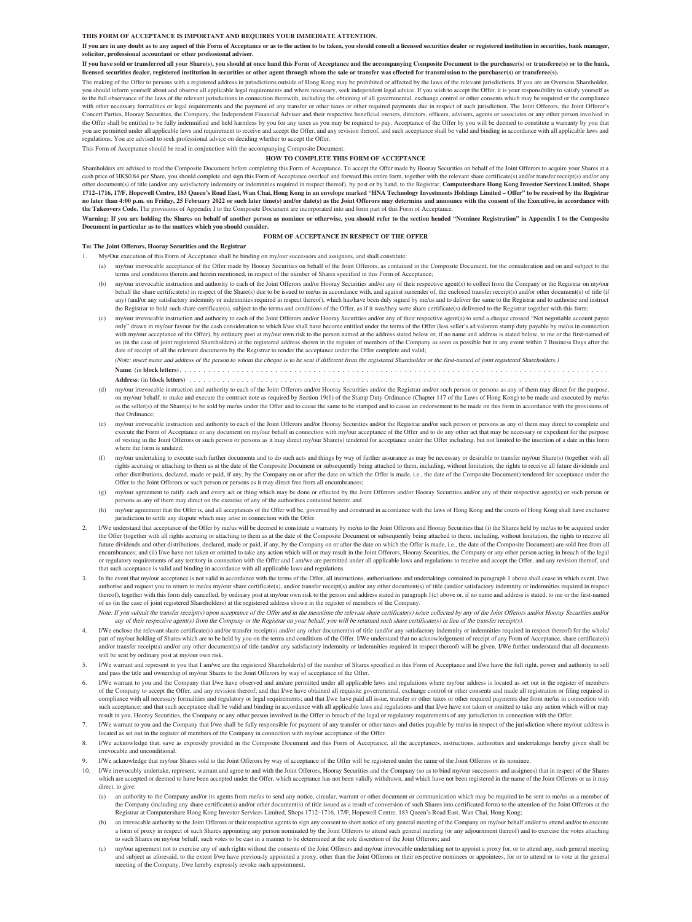#### **THIS FORM OF ACCEPTANCE IS IMPORTANT AND REQUIRES YOUR IMMEDIATE ATTENTION.**

**If you are in any doubt as to any aspect of this Form of Acceptance or as to the action to be taken, you should consult a licensed securities dealer or registered institution in securities, bank manager, solicitor, professional accountant or other professional adviser.**

**If you have sold or transferred all your Share(s), you should at once hand this Form of Acceptance and the accompanying Composite Document to the purchaser(s) or transferee(s) or to the bank, licensed securities dealer, registered institution in securities or other agent through whom the sale or transfer was effected for transmission to the purchaser(s) or transferee(s).**

The making of the Offer to persons with a registered address in jurisdictions outside of Hong Kong may be prohibited or affected by the laws of the relevant jurisdictions. If you are an Overseas Shareholder, you should inform yourself about and observe all applicable legal requirements and where necessary, seek independent legal advice. If you wish to accept the Offer, it is your responsibility to satisfy yourself as to the full observance of the laws of the relevant jurisdictions in connection therewith, including the obtaining of all governmental, exchange control or other consents which may be required or the consents which may be with other necessary formalities or legal requirements and the payment of any transfer or other required payments due in respect of such jurisdiction. The Joint Offerors, the Joint Offeror's<br>Concert Parties, Hooray Securit the Offer shall be entitled to be fully indemnified and held harmless by you for any taxes as you may be required to pay. Acceptance of the Offer by you will be deemed to constitute a warranty by you that the Offer shall b you are permitted under all applicable laws and requirement to receive and accept the Offer, and any revision thereof, and such acceptance shall be valid and binding in accordance with all applicable laws and<br>regulations.

This Form of Acceptance should be read in conjunction with the accompanying Composite Document.

#### **HOW TO COMPLETE THIS FORM OF ACCEPTANCE**

Shareholders are advised to read the Composite Document before completing this Form of Acceptance. To accept the Offer made by Hooray Securities on behalf of the Joint Offerors to acquire your Shares at a cash price of HK\$0.84 per Share, you should complete and sign this Form of Acceptance overleaf and forward this entire form, together with the relevant share certificate(s) and/or transfer receipt(s) and/or any other document(s) of title (and/or any satisfactory indemnity or indemnities required in respect thereof), by post or by hand, to the Registrar, **Computershare Hong Kong Investor Services Limited, Shops**  1712–1716, 17/F, Hopewell Centre, 183 Queen's Road East, Wan Chai, Hong Kong in an envelope marked "HNA Technology Investments Holdings Limited – Offer" to be received by the Registrar<br>no later than 4:00 p.m. on Friday, 25 **the Takeovers Code.** The provisions of Appendix I to the Composite Document are incorporated into and form part of this Form of Acceptance.

Warning: If you are holding the Shares on behalf of another person as nominee or otherwise, you should refer to the section headed "Nominee Registration" in Appendix I to the Composite Document in particular as to the matt **Document in particular as to the matters which you should consider.**

#### **FORM OF ACCEPTANCE IN RESPECT OF THE OFFER**

#### **To: The Joint Offerors, Hooray Securities and the Registrar**

- 1. My/Our execution of this Form of Acceptance shall be binding on my/our successors and assignees, and shall constitute:
- (a) my/our irrevocable acceptance of the Offer made by Hooray Securities on behalf of the Joint Offerors, as contained in the Composite Document, for the consideration and on and subject to the terms and conditions therein and herein mentioned, in respect of the number of Shares specified in this Form of Acceptance;
- (b) my/our irrevocable instruction and authority to each of the Joint Offerors and/or Hooray Securities and/or any of their respective agent(s) to collect from the Company or the Registrar on my/our behalf the share certificate(s) in respect of the Share(s) due to be issued to me/us in accordance with, and against surrender of, the enclosed transfer receipt(s) and/or other document(s) of title (if any) (and/or any satisfactory indemnity or indemnities required in respect thereof), which has/have been duly signed by me/us and to deliver the same to the Registrar and to authorise and instruct the Registrar to hold such share certificate(s), subject to the terms and conditions of the Offer, as if it was/they were share certificate(s) delivered to the Registrar together with this form;
- (c) my/our irrevocable instruction and authority to each of the Joint Offerors and/or Hooray Securities and/or any of their respective agent(s) to send a cheque crossed "Not negotiable account payee only" drawn in my/our favour for the cash consideration to which I/we shall have become entitled under the terms of the Offer (less seller's ad valorem stamp duty payable by me/us in connection with my/our acceptance of the Offer), by ordinary post at my/our own risk to the person named at the address stated below or, if no name and address is stated below, to me or the first-named of us (in the case of joint registered Shareholders) at the registered address shown in the register of members of the Company as soon as possible but in any event within 7 Business Days after the date of receipt of all the relevant documents by the Registrar to render the acceptance under the Offer complete and valid;

(Note: insert name and address of the person to whom the cheque is to be sent if different from the registered Shareholder or the first-named of joint registered Shareholders.) **Name**: (in **block letters**). . . . . . . . . . . . . . . . . . . . . . . . . . . . . . . . . . . . . . . . . . . . . . . . . . . . . . . . . . . . . . . . . . . . . . . . . . . . . . . . . . . . . . . . . .

- **Address**: (in **block letters**) . . . . . . . . . .
- (d) my/our irrevocable instruction and authority to each of the Joint Offerors and/or Hooray Securities and/or the Registrar and/or such person or persons as any of them may direct for the purpose, on my/our behalf, to make and execute the contract note as required by Section 19(1) of the Stamp Duty Ordinance (Chapter 117 of the Laws of Hong Kong) to be made and executed by me/us as the seller(s) of the Share(s) to be sold by me/us under the Offer and to cause the same to be stamped and to cause an endorsement to be made on this form in accordance with the provisions of that Ordinance;
- my/our irrevocable instruction and authority to each of the Joint Offerors and/or Hooray Securities and/or the Registrar and/or such person or persons as any of them may direct to complete and execute the Form of Acceptance or any document on my/our behalf in connection with my/our acceptance of the Offer and to do any other act that may be necessary or expedient for the purpose<br>of vesting in the Joint Offerors where the form is undated;
- (f) my/our undertaking to execute such further documents and to do such acts and things by way of further assurance as may be necessary or desirable to transfer my/our Share(s) (together with all rights accruing or attaching to them as at the date of the Composite Document or subsequently being attached to them, including, without limitation, the rights to receive all future dividends and other distributions, declared, made or paid, if any, by the Company on or after the date on which the Offer is made, i.e., the date of the Composite Document) tendered for acceptance under the Offer to the Joint Offerors or such person or persons as it may direct free from all encumbrances;
- (g) my/our agreement to ratify each and every act or thing which may be done or effected by the Joint Offerors and/or Hooray Securities and/or any of their respective agent(s) or such person or persons as any of them may direct on the exercise of any of the authorities contained herein; and
- my/our agreement that the Offer is, and all acceptances of the Offer will be, governed by and construed in accordance with the laws of Hong Kong and the courts of Hong Kong shall have exclusive jurisdiction to settle any dispute which may arise in connection with the Offer.
- 2. I/We understand that acceptance of the Offer by me/us will be deemed to constitute a warranty by me/us to the Joint Offerors and Hooray Securities that (i) the Shares held by me/us to be acquired under the Offer (together with all rights accruing or attaching to them as at the date of the Composite Document or subsequently being attached to them, including, without limitation, the rights to receive all future dividends and other distributions, declared, made or paid, if any, by the Company on or after the date on which the Offer is made, i.e., the date of the Composite Document) are sold free from all encumbrances; and (ii) I/we have not taken or omitted to take any action which will or may result in the Joint Offerors, Hooray Securities, the Company or any other person acting in breach of the legal or regulatory requirements of any territory in connection with the Offer and I am/we are permitted under all applicable laws and regulations to receive and accept the Offer, and any revision thereof, and that such acceptance is valid and binding in accordance with all applicable laws and regulations.
- In the event that my/our acceptance is not valid in accordance with the terms of the Offer, all instructions, authorisations and undertakings contained in paragraph 1 above shall cease in which event, I/we authorise and request you to return to me/us my/our share certificate(s), and/or transfer receipt(s) and/or any other document(s) of title (and/or satisfactory indemnity or indemnities required in respect thereof), together with this form duly cancelled, by ordinary post at my/our own risk to the person and address stated in paragraph 1(c) above or, if no name and address is stated, to me or the first-named of us (in the case of joint registered Shareholders) at the registered address shown in the register of members of the Company.
	- Note: If you submit the transfer receipt(s) upon acceptance of the Offer and in the meantime the relevant share certificate(s) is/are collected by any of the Joint Offerors and/or Hooray Securities and/or any of their respective agent(s) from the Company or the Registrar on your behalf, you will be returned such share certificate(s) in lieu of the transfer receipt(s).
- I/We enclose the relevant share certificate(s) and/or transfer receipt(s) and/or any other document(s) of title (and/or any satisfactory indemnity or indemnities required in respect thereof) for the whole/ part of my/our holding of Shares which are to be held by you on the terms and conditions of the Offer. I/We understand that no acknowledgement of receipt of any Form of Acceptance, share certificate(s) and/or transfer receipt(s) and/or any other document(s) of title (and/or any satisfactory indemnity or indemnities required in respect thereof) will be given. I/We further understand that all documents will be sent by ordinary post at my/our own risk.
- 5. I/We warrant and represent to you that I am/we are the registered Shareholder(s) of the number of Shares specified in this Form of Acceptance and I/we have the full right, power and authority to sell and pass the title and ownership of my/our Shares to the Joint Offerors by way of acceptance of the Offer.
- 6. I/We warrant to you and the Company that I/we have observed and am/are permitted under all applicable laws and regulations where my/our address is located as set out in the register of members of the Company to accept the Offer, and any revision thereof; and that I/we have obtained all requisite governmental, exchange control or other consents and made all registration or filing required in compliance with all necessary formalities and regulatory or legal requirements; and that I/we have paid all issue, transfer or other taxes or other required payments due from me/us in connection with such acceptance; and that such acceptance shall be valid and binding in accordance with all applicable laws and regulations and that I/we have not taken or omitted to take any action which will or may result in you, Hooray Securities, the Company or any other person involved in the Offer in breach of the legal or regulatory requirements of any jurisdiction in connection with the Offer.
- I/We warrant to you and the Company that I/we shall be fully responsible for payment of any transfer or other taxes and duties payable by me/us in respect of the jurisdiction where my/our address is located as set out in the register of members of the Company in connection with my/our acceptance of the Offer.
- I/We acknowledge that, save as expressly provided in the Composite Document and this Form of Acceptance, all the acceptances, instructions, authorities and undertakings hereby given shall be irrevocable and unconditional.
- 9. I/We acknowledge that my/our Shares sold to the Joint Offerors by way of acceptance of the Offer will be registered under the name of the Joint Offerors or its nominee.
- 10. I/We irrevocably undertake, represent, warrant and agree to and with the Joint Offerors, Hooray Securities and the Company (so as to bind my/our successors and assignees) that in respect of the Shares which are accepted or deemed to have been accepted under the Offer, which acceptance has not been validly withdrawn, and which have not been registered in the name of the Joint Offerors or as it may direct, to give:
	- (a) an authority to the Company and/or its agents from me/us to send any notice, circular, warrant or other document or communication which may be required to be sent to me/us as a member of the Company (including any share certificate(s) and/or other document(s) of title issued as a result of conversion of such Shares into certificated form) to the attention of the Joint Offerors at the Registrar at Computershare Hong Kong Investor Services Limited, Shops 1712–1716, 17/F, Hopewell Centre, 183 Queen's Road East, Wan Chai, Hong Kong;
	- (b) an irrevocable authority to the Joint Offerors or their respective agents to sign any consent to short notice of any general meeting of the Company on my/our behalf and/or to attend and/or to execute a form of proxy in respect of such Shares appointing any person nominated by the Joint Offerors to attend such general meeting (or any adjournment thereof) and to exercise the votes attaching<br>to such Shares on my/our behal
	- my/our agreement not to exercise any of such rights without the consents of the Joint Offerors and my/our irrevocable undertaking not to appoint a proxy for, or to attend any, such general meeting and subject as aforesaid, to the extent I/we have previously appointed a proxy, other than the Joint Offerors or their respective nominees or appointees, for or to attend or to vote at the general meeting of the Company, I/we hereby expressly revoke such appointment